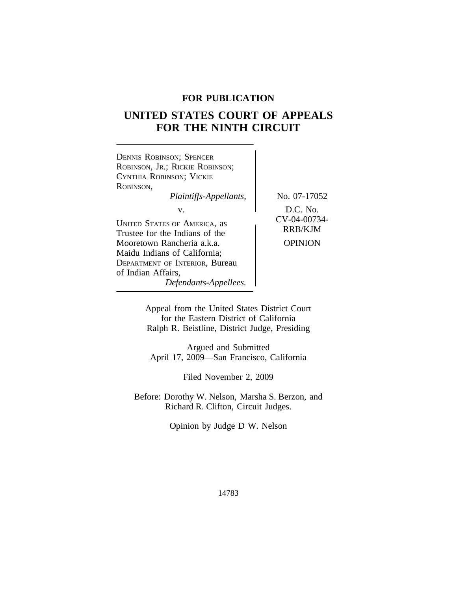# **FOR PUBLICATION**

# **UNITED STATES COURT OF APPEALS FOR THE NINTH CIRCUIT**

 $\overline{\phantom{a}}$ 

| <b>DENNIS ROBINSON; SPENCER</b><br>ROBINSON, JR.; RICKIE ROBINSON;<br>CYNTHIA ROBINSON; VICKIE<br><b>ROBINSON,</b><br>Plaintiffs-Appellants,                                                                               | No. 07-17052                                          |
|----------------------------------------------------------------------------------------------------------------------------------------------------------------------------------------------------------------------------|-------------------------------------------------------|
| V.<br>UNITED STATES OF AMERICA, as<br>Trustee for the Indians of the<br>Mooretown Rancheria a.k.a.<br>Maidu Indians of California;<br><b>DEPARTMENT OF INTERIOR, Bureau</b><br>of Indian Affairs,<br>Defendants-Appellees. | D.C. No.<br>CV-04-00734-<br>RRB/KJM<br><b>OPINION</b> |

Appeal from the United States District Court for the Eastern District of California Ralph R. Beistline, District Judge, Presiding

Argued and Submitted April 17, 2009—San Francisco, California

Filed November 2, 2009

Before: Dorothy W. Nelson, Marsha S. Berzon, and Richard R. Clifton, Circuit Judges.

Opinion by Judge D W. Nelson

14783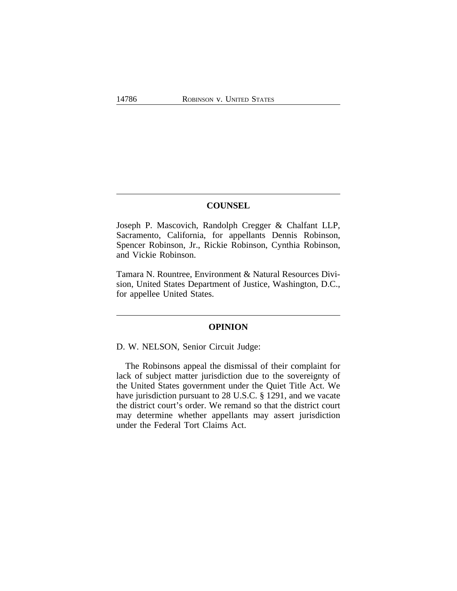# **COUNSEL**

Joseph P. Mascovich, Randolph Cregger & Chalfant LLP, Sacramento, California, for appellants Dennis Robinson, Spencer Robinson, Jr., Rickie Robinson, Cynthia Robinson, and Vickie Robinson.

Tamara N. Rountree, Environment & Natural Resources Division, United States Department of Justice, Washington, D.C., for appellee United States.

#### **OPINION**

D. W. NELSON, Senior Circuit Judge:

The Robinsons appeal the dismissal of their complaint for lack of subject matter jurisdiction due to the sovereignty of the United States government under the Quiet Title Act. We have jurisdiction pursuant to 28 U.S.C. § 1291, and we vacate the district court's order. We remand so that the district court may determine whether appellants may assert jurisdiction under the Federal Tort Claims Act.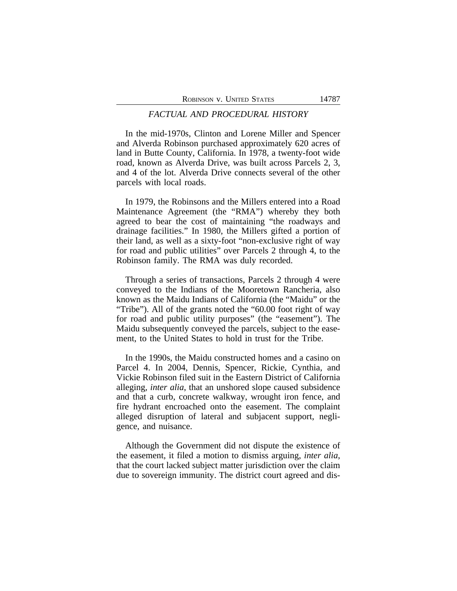## *FACTUAL AND PROCEDURAL HISTORY*

In the mid-1970s, Clinton and Lorene Miller and Spencer and Alverda Robinson purchased approximately 620 acres of land in Butte County, California. In 1978, a twenty-foot wide road, known as Alverda Drive, was built across Parcels 2, 3, and 4 of the lot. Alverda Drive connects several of the other parcels with local roads.

In 1979, the Robinsons and the Millers entered into a Road Maintenance Agreement (the "RMA") whereby they both agreed to bear the cost of maintaining "the roadways and drainage facilities." In 1980, the Millers gifted a portion of their land, as well as a sixty-foot "non-exclusive right of way for road and public utilities" over Parcels 2 through 4, to the Robinson family. The RMA was duly recorded.

Through a series of transactions, Parcels 2 through 4 were conveyed to the Indians of the Mooretown Rancheria, also known as the Maidu Indians of California (the "Maidu" or the "Tribe"). All of the grants noted the "60.00 foot right of way for road and public utility purposes" (the "easement"). The Maidu subsequently conveyed the parcels, subject to the easement, to the United States to hold in trust for the Tribe.

In the 1990s, the Maidu constructed homes and a casino on Parcel 4. In 2004, Dennis, Spencer, Rickie, Cynthia, and Vickie Robinson filed suit in the Eastern District of California alleging*, inter alia*, that an unshored slope caused subsidence and that a curb, concrete walkway, wrought iron fence, and fire hydrant encroached onto the easement. The complaint alleged disruption of lateral and subjacent support, negligence, and nuisance.

Although the Government did not dispute the existence of the easement, it filed a motion to dismiss arguing, *inter alia*, that the court lacked subject matter jurisdiction over the claim due to sovereign immunity. The district court agreed and dis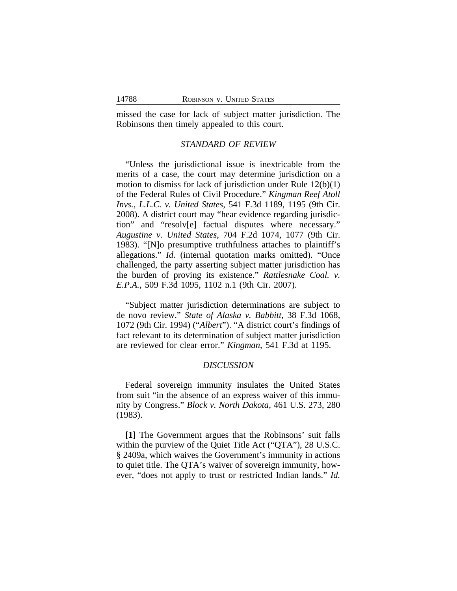missed the case for lack of subject matter jurisdiction. The Robinsons then timely appealed to this court.

# *STANDARD OF REVIEW*

"Unless the jurisdictional issue is inextricable from the merits of a case, the court may determine jurisdiction on a motion to dismiss for lack of jurisdiction under Rule 12(b)(1) of the Federal Rules of Civil Procedure." *Kingman Reef Atoll Invs., L.L.C. v. United States*, 541 F.3d 1189, 1195 (9th Cir. 2008). A district court may "hear evidence regarding jurisdiction" and "resolv[e] factual disputes where necessary." *Augustine v. United States*, 704 F.2d 1074, 1077 (9th Cir. 1983). "[N]o presumptive truthfulness attaches to plaintiff's allegations." *Id.* (internal quotation marks omitted). "Once challenged, the party asserting subject matter jurisdiction has the burden of proving its existence." *Rattlesnake Coal. v. E.P.A.*, 509 F.3d 1095, 1102 n.1 (9th Cir. 2007).

"Subject matter jurisdiction determinations are subject to de novo review." *State of Alaska v. Babbitt*, 38 F.3d 1068, 1072 (9th Cir. 1994) ("*Albert*"). "A district court's findings of fact relevant to its determination of subject matter jurisdiction are reviewed for clear error." *Kingman*, 541 F.3d at 1195.

#### *DISCUSSION*

Federal sovereign immunity insulates the United States from suit "in the absence of an express waiver of this immunity by Congress." *Block v. North Dakota*, 461 U.S. 273, 280 (1983).

**[1]** The Government argues that the Robinsons' suit falls within the purview of the Quiet Title Act ("QTA"), 28 U.S.C. § 2409a, which waives the Government's immunity in actions to quiet title. The QTA's waiver of sovereign immunity, however, "does not apply to trust or restricted Indian lands." *Id.*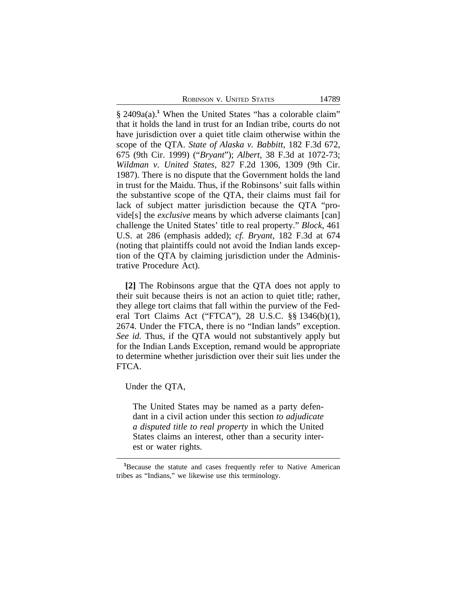ROBINSON V. UNITED STATES 14789

§ 2409a(a).<sup>1</sup> When the United States "has a colorable claim" that it holds the land in trust for an Indian tribe, courts do not have jurisdiction over a quiet title claim otherwise within the scope of the QTA. *State of Alaska v. Babbitt*, 182 F.3d 672, 675 (9th Cir. 1999) ("*Bryant*"); *Albert*, 38 F.3d at 1072-73; *Wildman v. United States*, 827 F.2d 1306, 1309 (9th Cir. 1987). There is no dispute that the Government holds the land in trust for the Maidu. Thus, if the Robinsons' suit falls within the substantive scope of the QTA, their claims must fail for lack of subject matter jurisdiction because the QTA "provide[s] the *exclusive* means by which adverse claimants [can] challenge the United States' title to real property." *Block*, 461 U.S. at 286 (emphasis added); *cf. Bryant*, 182 F.3d at 674 (noting that plaintiffs could not avoid the Indian lands exception of the QTA by claiming jurisdiction under the Administrative Procedure Act).

**[2]** The Robinsons argue that the QTA does not apply to their suit because theirs is not an action to quiet title; rather, they allege tort claims that fall within the purview of the Federal Tort Claims Act ("FTCA"), 28 U.S.C. §§ 1346(b)(1), 2674. Under the FTCA, there is no "Indian lands" exception. *See id.* Thus, if the QTA would not substantively apply but for the Indian Lands Exception, remand would be appropriate to determine whether jurisdiction over their suit lies under the FTCA.

Under the QTA,

The United States may be named as a party defendant in a civil action under this section *to adjudicate a disputed title to real property* in which the United States claims an interest, other than a security interest or water rights.

**<sup>1</sup>**Because the statute and cases frequently refer to Native American tribes as "Indians," we likewise use this terminology.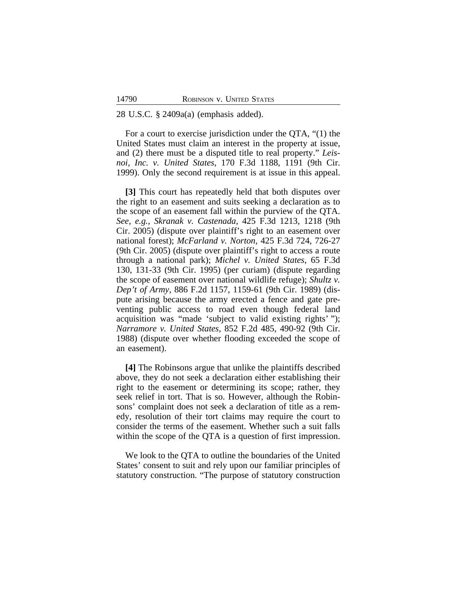#### 28 U.S.C. § 2409a(a) (emphasis added).

For a court to exercise jurisdiction under the QTA, "(1) the United States must claim an interest in the property at issue, and (2) there must be a disputed title to real property." *Leisnoi, Inc. v. United States*, 170 F.3d 1188, 1191 (9th Cir. 1999). Only the second requirement is at issue in this appeal.

**[3]** This court has repeatedly held that both disputes over the right to an easement and suits seeking a declaration as to the scope of an easement fall within the purview of the QTA. *See, e.g.*, *Skranak v. Castenada*, 425 F.3d 1213, 1218 (9th Cir. 2005) (dispute over plaintiff's right to an easement over national forest); *McFarland v. Norton*, 425 F.3d 724, 726-27 (9th Cir. 2005) (dispute over plaintiff's right to access a route through a national park); *Michel v. United States*, 65 F.3d 130, 131-33 (9th Cir. 1995) (per curiam) (dispute regarding the scope of easement over national wildlife refuge); *Shultz v. Dep't of Army*, 886 F.2d 1157, 1159-61 (9th Cir. 1989) (dispute arising because the army erected a fence and gate preventing public access to road even though federal land acquisition was "made 'subject to valid existing rights' "); *Narramore v. United States*, 852 F.2d 485, 490-92 (9th Cir. 1988) (dispute over whether flooding exceeded the scope of an easement).

**[4]** The Robinsons argue that unlike the plaintiffs described above, they do not seek a declaration either establishing their right to the easement or determining its scope; rather, they seek relief in tort. That is so. However, although the Robinsons' complaint does not seek a declaration of title as a remedy, resolution of their tort claims may require the court to consider the terms of the easement. Whether such a suit falls within the scope of the QTA is a question of first impression.

We look to the QTA to outline the boundaries of the United States' consent to suit and rely upon our familiar principles of statutory construction. "The purpose of statutory construction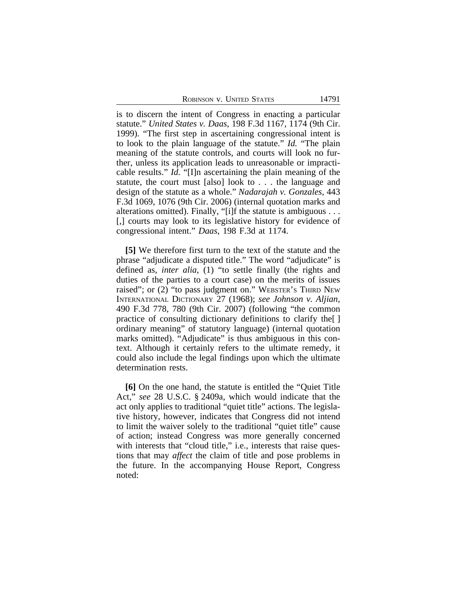ROBINSON V. UNITED STATES 14791

is to discern the intent of Congress in enacting a particular statute." *United States v. Daas*, 198 F.3d 1167, 1174 (9th Cir. 1999). "The first step in ascertaining congressional intent is to look to the plain language of the statute." *Id.* "The plain meaning of the statute controls, and courts will look no further, unless its application leads to unreasonable or impracticable results." *Id.* "[I]n ascertaining the plain meaning of the statute, the court must [also] look to . . . the language and design of the statute as a whole." *Nadarajah v. Gonzales*, 443 F.3d 1069, 1076 (9th Cir. 2006) (internal quotation marks and alterations omitted). Finally, "[i]f the statute is ambiguous . . . [,] courts may look to its legislative history for evidence of congressional intent." *Daas*, 198 F.3d at 1174.

**[5]** We therefore first turn to the text of the statute and the phrase "adjudicate a disputed title." The word "adjudicate" is defined as, *inter alia*, (1) "to settle finally (the rights and duties of the parties to a court case) on the merits of issues raised"; or (2) "to pass judgment on." WEBSTER'S THIRD NEW INTERNATIONAL DICTIONARY 27 (1968); *see Johnson v. Aljian*, 490 F.3d 778, 780 (9th Cir. 2007) (following "the common practice of consulting dictionary definitions to clarify the[ ] ordinary meaning" of statutory language) (internal quotation marks omitted). "Adjudicate" is thus ambiguous in this context. Although it certainly refers to the ultimate remedy, it could also include the legal findings upon which the ultimate determination rests.

**[6]** On the one hand, the statute is entitled the "Quiet Title Act," *see* 28 U.S.C. § 2409a, which would indicate that the act only applies to traditional "quiet title" actions. The legislative history, however, indicates that Congress did not intend to limit the waiver solely to the traditional "quiet title" cause of action; instead Congress was more generally concerned with interests that "cloud title," i.e., interests that raise questions that may *affect* the claim of title and pose problems in the future. In the accompanying House Report, Congress noted: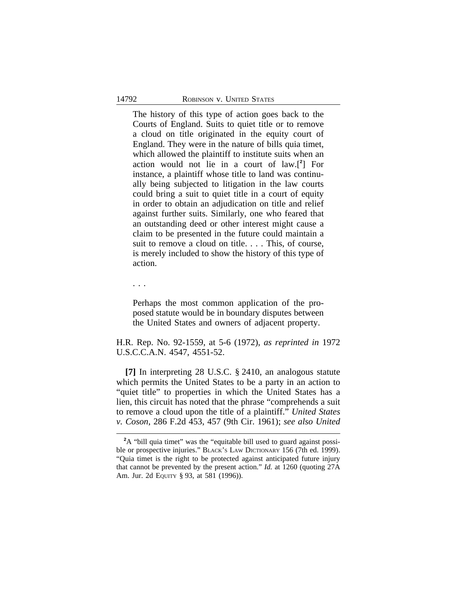The history of this type of action goes back to the Courts of England. Suits to quiet title or to remove a cloud on title originated in the equity court of England. They were in the nature of bills quia timet, which allowed the plaintiff to institute suits when an action would not lie in a court of law.[**<sup>2</sup>** ] For instance, a plaintiff whose title to land was continually being subjected to litigation in the law courts could bring a suit to quiet title in a court of equity in order to obtain an adjudication on title and relief against further suits. Similarly, one who feared that an outstanding deed or other interest might cause a claim to be presented in the future could maintain a suit to remove a cloud on title. . . . This, of course, is merely included to show the history of this type of action.

. . .

Perhaps the most common application of the proposed statute would be in boundary disputes between the United States and owners of adjacent property.

H.R. Rep. No. 92-1559, at 5-6 (1972), *as reprinted in* 1972 U.S.C.C.A.N. 4547, 4551-52.

**[7]** In interpreting 28 U.S.C. § 2410, an analogous statute which permits the United States to be a party in an action to "quiet title" to properties in which the United States has a lien, this circuit has noted that the phrase "comprehends a suit to remove a cloud upon the title of a plaintiff." *United States v. Coson*, 286 F.2d 453, 457 (9th Cir. 1961); *see also United*

**<sup>2</sup>**A "bill quia timet" was the "equitable bill used to guard against possible or prospective injuries." BLACK'S LAW DICTIONARY 156 (7th ed. 1999). "Quia timet is the right to be protected against anticipated future injury that cannot be prevented by the present action." *Id.* at 1260 (quoting 27A Am. Jur. 2d EQUITY § 93, at 581 (1996)).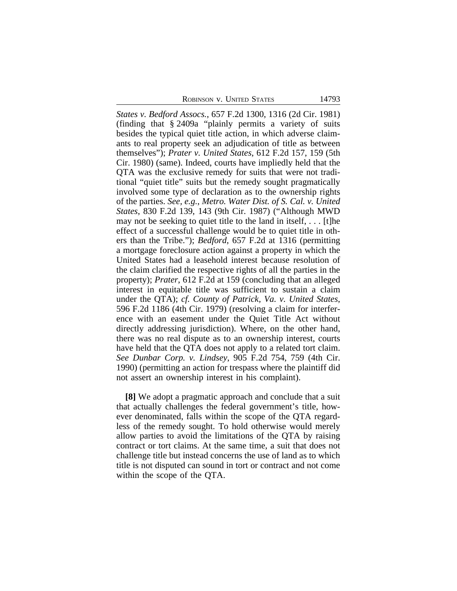ROBINSON V. UNITED STATES 14793

*States v. Bedford Assocs.*, 657 F.2d 1300, 1316 (2d Cir. 1981) (finding that § 2409a "plainly permits a variety of suits besides the typical quiet title action, in which adverse claimants to real property seek an adjudication of title as between themselves"); *Prater v. United States*, 612 F.2d 157, 159 (5th Cir. 1980) (same). Indeed, courts have impliedly held that the QTA was the exclusive remedy for suits that were not traditional "quiet title" suits but the remedy sought pragmatically involved some type of declaration as to the ownership rights of the parties. *See, e.g.*, *Metro. Water Dist. of S. Cal. v. United States*, 830 F.2d 139, 143 (9th Cir. 1987) ("Although MWD may not be seeking to quiet title to the land in itself, . . . [t]he effect of a successful challenge would be to quiet title in others than the Tribe."); *Bedford*, 657 F.2d at 1316 (permitting a mortgage foreclosure action against a property in which the United States had a leasehold interest because resolution of the claim clarified the respective rights of all the parties in the property); *Prater*, 612 F.2d at 159 (concluding that an alleged interest in equitable title was sufficient to sustain a claim under the QTA); *cf. County of Patrick, Va. v. United States*, 596 F.2d 1186 (4th Cir. 1979) (resolving a claim for interference with an easement under the Quiet Title Act without directly addressing jurisdiction). Where, on the other hand, there was no real dispute as to an ownership interest, courts have held that the QTA does not apply to a related tort claim. *See Dunbar Corp. v. Lindsey*, 905 F.2d 754, 759 (4th Cir. 1990) (permitting an action for trespass where the plaintiff did not assert an ownership interest in his complaint).

**[8]** We adopt a pragmatic approach and conclude that a suit that actually challenges the federal government's title, however denominated, falls within the scope of the QTA regardless of the remedy sought. To hold otherwise would merely allow parties to avoid the limitations of the QTA by raising contract or tort claims. At the same time, a suit that does not challenge title but instead concerns the use of land as to which title is not disputed can sound in tort or contract and not come within the scope of the QTA.